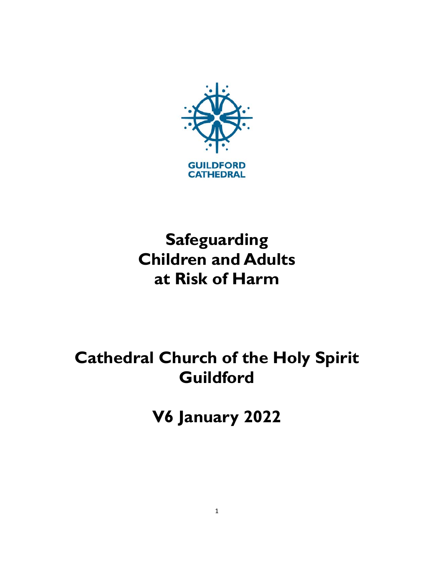

# **Safeguarding Children and Adults at Risk of Harm**

# **Cathedral Church of the Holy Spirit Guildford**

**V6 January 2022**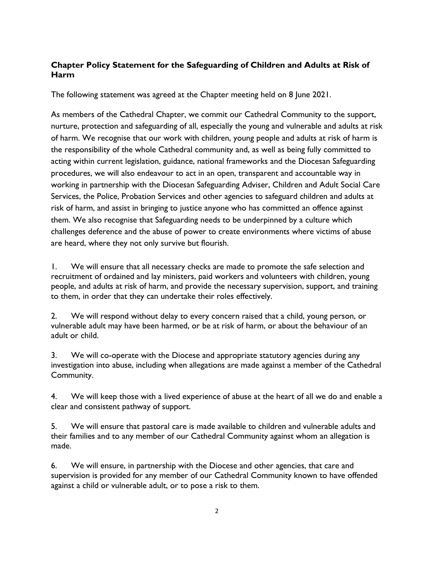## **Chapter Policy Statement for the Safeguarding of Children and Adults at Risk of Harm**

The following statement was agreed at the Chapter meeting held on 8 June 2021.

As members of the Cathedral Chapter, we commit our Cathedral Community to the support, nurture, protection and safeguarding of all, especially the young and vulnerable and adults at risk of harm. We recognise that our work with children, young people and adults at risk of harm is the responsibility of the whole Cathedral community and, as well as being fully committed to acting within current legislation, guidance, national frameworks and the Diocesan Safeguarding procedures, we will also endeavour to act in an open, transparent and accountable way in working in partnership with the Diocesan Safeguarding Adviser, Children and Adult Social Care Services, the Police, Probation Services and other agencies to safeguard children and adults at risk of harm, and assist in bringing to justice anyone who has committed an offence against them. We also recognise that Safeguarding needs to be underpinned by a culture which challenges deference and the abuse of power to create environments where victims of abuse are heard, where they not only survive but flourish.

1. We will ensure that all necessary checks are made to promote the safe selection and recruitment of ordained and lay ministers, paid workers and volunteers with children, young people, and adults at risk of harm, and provide the necessary supervision, support, and training to them, in order that they can undertake their roles effectively.

2. We will respond without delay to every concern raised that a child, young person, or vulnerable adult may have been harmed, or be at risk of harm, or about the behaviour of an adult or child.

3. We will co-operate with the Diocese and appropriate statutory agencies during any investigation into abuse, including when allegations are made against a member of the Cathedral Community.

4. We will keep those with a lived experience of abuse at the heart of all we do and enable a clear and consistent pathway of support.

5. We will ensure that pastoral care is made available to children and vulnerable adults and their families and to any member of our Cathedral Community against whom an allegation is made.

6. We will ensure, in partnership with the Diocese and other agencies, that care and supervision is provided for any member of our Cathedral Community known to have offended against a child or vulnerable adult, or to pose a risk to them.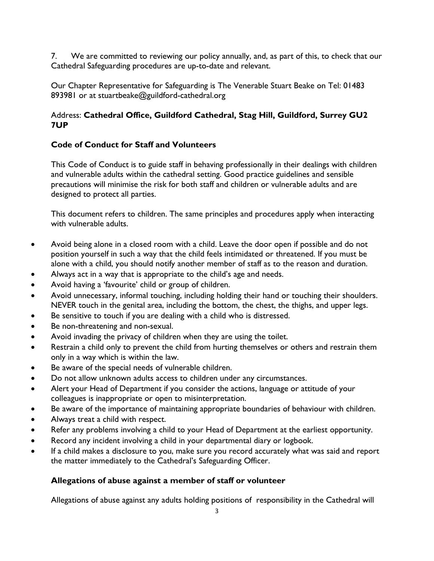7. We are committed to reviewing our policy annually, and, as part of this, to check that our Cathedral Safeguarding procedures are up-to-date and relevant.

Our Chapter Representative for Safeguarding is The Venerable Stuart Beake on Tel: 01483 893981 or at stuartbeake@guildford-cathedral.org

# Address: **Cathedral Office, Guildford Cathedral, Stag Hill, Guildford, Surrey GU2 7UP**

# **Code of Conduct for Staff and Volunteers**

This Code of Conduct is to guide staff in behaving professionally in their dealings with children and vulnerable adults within the cathedral setting. Good practice guidelines and sensible precautions will minimise the risk for both staff and children or vulnerable adults and are designed to protect all parties.

This document refers to children. The same principles and procedures apply when interacting with vulnerable adults.

- Avoid being alone in a closed room with a child. Leave the door open if possible and do not position yourself in such a way that the child feels intimidated or threatened. If you must be alone with a child, you should notify another member of staff as to the reason and duration.
- Always act in a way that is appropriate to the child's age and needs.
- Avoid having a 'favourite' child or group of children.
- Avoid unnecessary, informal touching, including holding their hand or touching their shoulders. NEVER touch in the genital area, including the bottom, the chest, the thighs, and upper legs.
- Be sensitive to touch if you are dealing with a child who is distressed.
- Be non-threatening and non-sexual.
- Avoid invading the privacy of children when they are using the toilet.
- Restrain a child only to prevent the child from hurting themselves or others and restrain them only in a way which is within the law.
- Be aware of the special needs of vulnerable children.
- Do not allow unknown adults access to children under any circumstances.
- Alert your Head of Department if you consider the actions, language or attitude of your colleagues is inappropriate or open to misinterpretation.
- Be aware of the importance of maintaining appropriate boundaries of behaviour with children.
- Always treat a child with respect.
- Refer any problems involving a child to your Head of Department at the earliest opportunity.
- Record any incident involving a child in your departmental diary or logbook.
- If a child makes a disclosure to you, make sure you record accurately what was said and report the matter immediately to the Cathedral's Safeguarding Officer.

## **Allegations of abuse against a member of staff or volunteer**

Allegations of abuse against any adults holding positions of responsibility in the Cathedral will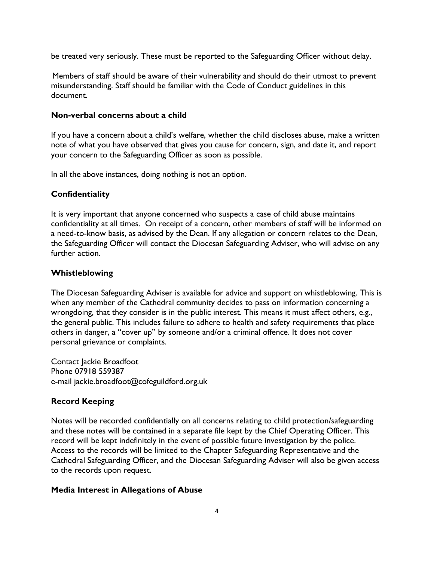be treated very seriously. These must be reported to the Safeguarding Officer without delay.

 Members of staff should be aware of their vulnerability and should do their utmost to prevent misunderstanding. Staff should be familiar with the Code of Conduct guidelines in this document.

#### **Non-verbal concerns about a child**

If you have a concern about a child's welfare, whether the child discloses abuse, make a written note of what you have observed that gives you cause for concern, sign, and date it, and report your concern to the Safeguarding Officer as soon as possible.

In all the above instances, doing nothing is not an option.

## **Confidentiality**

It is very important that anyone concerned who suspects a case of child abuse maintains confidentiality at all times. On receipt of a concern, other members of staff will be informed on a need-to-know basis, as advised by the Dean. If any allegation or concern relates to the Dean, the Safeguarding Officer will contact the Diocesan Safeguarding Adviser, who will advise on any further action.

## **Whistleblowing**

The Diocesan Safeguarding Adviser is available for advice and support on whistleblowing. This is when any member of the Cathedral community decides to pass on information concerning a wrongdoing, that they consider is in the public interest. This means it must affect others, e.g., the general public. This includes failure to adhere to health and safety requirements that place others in danger, a "cover up" by someone and/or a criminal offence. It does not cover personal grievance or complaints.

Contact Jackie Broadfoot Phone 07918 559387 e-mail jackie.broadfoot@cofeguildford.org.uk

## **Record Keeping**

Notes will be recorded confidentially on all concerns relating to child protection/safeguarding and these notes will be contained in a separate file kept by the Chief Operating Officer. This record will be kept indefinitely in the event of possible future investigation by the police. Access to the records will be limited to the Chapter Safeguarding Representative and the Cathedral Safeguarding Officer, and the Diocesan Safeguarding Adviser will also be given access to the records upon request.

#### **Media Interest in Allegations of Abuse**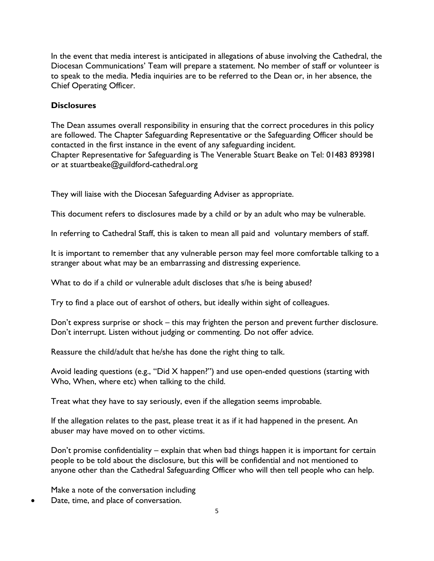In the event that media interest is anticipated in allegations of abuse involving the Cathedral, the Diocesan Communications' Team will prepare a statement. No member of staff or volunteer is to speak to the media. Media inquiries are to be referred to the Dean or, in her absence, the Chief Operating Officer.

## **Disclosures**

The Dean assumes overall responsibility in ensuring that the correct procedures in this policy are followed. The Chapter Safeguarding Representative or the Safeguarding Officer should be contacted in the first instance in the event of any safeguarding incident. Chapter Representative for Safeguarding is The Venerable Stuart Beake on Tel: 01483 893981 or at stuartbeake@guildford-cathedral.org

They will liaise with the Diocesan Safeguarding Adviser as appropriate.

This document refers to disclosures made by a child or by an adult who may be vulnerable.

In referring to Cathedral Staff, this is taken to mean all paid and voluntary members of staff.

It is important to remember that any vulnerable person may feel more comfortable talking to a stranger about what may be an embarrassing and distressing experience.

What to do if a child or vulnerable adult discloses that s/he is being abused?

Try to find a place out of earshot of others, but ideally within sight of colleagues.

Don't express surprise or shock – this may frighten the person and prevent further disclosure. Don't interrupt. Listen without judging or commenting. Do not offer advice.

Reassure the child/adult that he/she has done the right thing to talk.

Avoid leading questions (e.g., "Did X happen?") and use open-ended questions (starting with Who, When, where etc) when talking to the child.

Treat what they have to say seriously, even if the allegation seems improbable.

If the allegation relates to the past, please treat it as if it had happened in the present. An abuser may have moved on to other victims.

Don't promise confidentiality – explain that when bad things happen it is important for certain people to be told about the disclosure, but this will be confidential and not mentioned to anyone other than the Cathedral Safeguarding Officer who will then tell people who can help.

Make a note of the conversation including

Date, time, and place of conversation.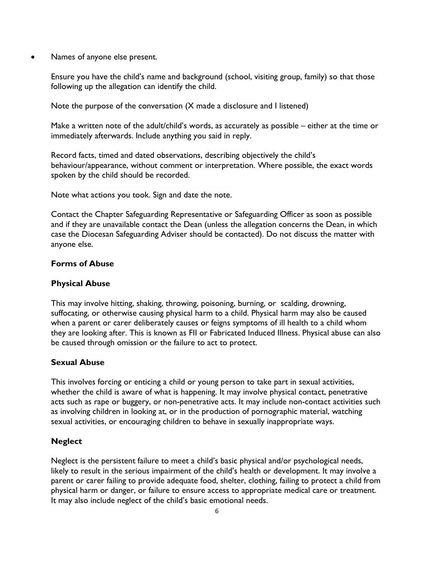• Names of anyone else present.

Ensure you have the child's name and background (school, visiting group, family) so that those following up the allegation can identify the child.

Note the purpose of the conversation (X made a disclosure and I listened)

Make a written note of the adult/child's words, as accurately as possible – either at the time or immediately afterwards. Include anything you said in reply.

Record facts, timed and dated observations, describing objectively the child's behaviour/appearance, without comment or interpretation. Where possible, the exact words spoken by the child should be recorded.

Note what actions you took. Sign and date the note.

Contact the Chapter Safeguarding Representative or Safeguarding Officer as soon as possible and if they are unavailable contact the Dean (unless the allegation concerns the Dean, in which case the Diocesan Safeguarding Adviser should be contacted). Do not discuss the matter with anyone else.

#### **Forms of Abuse**

## **Physical Abuse**

This may involve hitting, shaking, throwing, poisoning, burning, or scalding, drowning, suffocating, or otherwise causing physical harm to a child. Physical harm may also be caused when a parent or carer deliberately causes or feigns symptoms of ill health to a child whom they are looking after. This is known as FII or Fabricated Induced Illness. Physical abuse can also be caused through omission or the failure to act to protect.

#### **Sexual Abuse**

This involves forcing or enticing a child or young person to take part in sexual activities, whether the child is aware of what is happening. It may involve physical contact, penetrative acts such as rape or buggery, or non-penetrative acts. It may include non-contact activities such as involving children in looking at, or in the production of pornographic material, watching sexual activities, or encouraging children to behave in sexually inappropriate ways.

## **Neglect**

Neglect is the persistent failure to meet a child's basic physical and/or psychological needs, likely to result in the serious impairment of the child's health or development. It may involve a parent or carer failing to provide adequate food, shelter, clothing, failing to protect a child from physical harm or danger, or failure to ensure access to appropriate medical care or treatment. It may also include neglect of the child's basic emotional needs.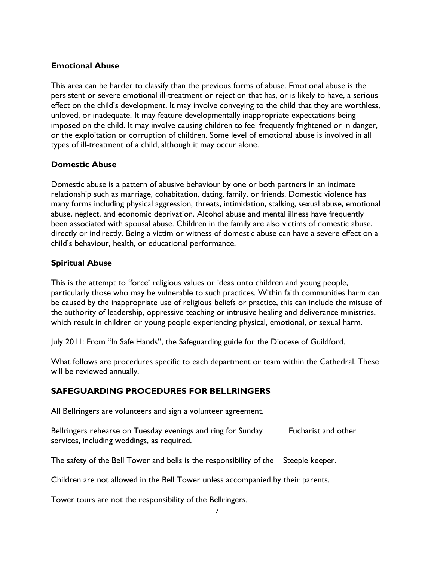## **Emotional Abuse**

This area can be harder to classify than the previous forms of abuse. Emotional abuse is the persistent or severe emotional ill-treatment or rejection that has, or is likely to have, a serious effect on the child's development. It may involve conveying to the child that they are worthless, unloved, or inadequate. It may feature developmentally inappropriate expectations being imposed on the child. It may involve causing children to feel frequently frightened or in danger, or the exploitation or corruption of children. Some level of emotional abuse is involved in all types of ill-treatment of a child, although it may occur alone.

## **Domestic Abuse**

Domestic abuse is a pattern of abusive behaviour by one or both partners in an intimate relationship such as marriage, cohabitation, dating, family, or friends. Domestic violence has many forms including physical aggression, threats, intimidation, stalking, sexual abuse, emotional abuse, neglect, and economic deprivation. Alcohol abuse and mental illness have frequently been associated with spousal abuse. Children in the family are also victims of domestic abuse, directly or indirectly. Being a victim or witness of domestic abuse can have a severe effect on a child's behaviour, health, or educational performance.

## **Spiritual Abuse**

This is the attempt to 'force' religious values or ideas onto children and young people, particularly those who may be vulnerable to such practices. Within faith communities harm can be caused by the inappropriate use of religious beliefs or practice, this can include the misuse of the authority of leadership, oppressive teaching or intrusive healing and deliverance ministries, which result in children or young people experiencing physical, emotional, or sexual harm.

July 2011: From "In Safe Hands", the Safeguarding guide for the Diocese of Guildford.

What follows are procedures specific to each department or team within the Cathedral. These will be reviewed annually.

## **SAFEGUARDING PROCEDURES FOR BELLRINGERS**

All Bellringers are volunteers and sign a volunteer agreement.

Bellringers rehearse on Tuesday evenings and ring for Sunday Eucharist and other services, including weddings, as required.

The safety of the Bell Tower and bells is the responsibility of the Steeple keeper.

Children are not allowed in the Bell Tower unless accompanied by their parents.

Tower tours are not the responsibility of the Bellringers.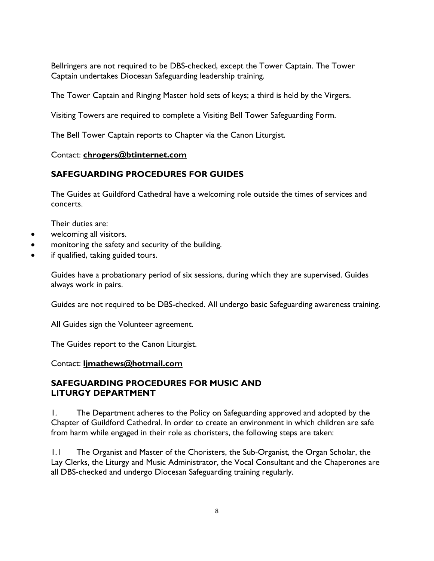Bellringers are not required to be DBS-checked, except the Tower Captain. The Tower Captain undertakes Diocesan Safeguarding leadership training.

The Tower Captain and Ringing Master hold sets of keys; a third is held by the Virgers.

Visiting Towers are required to complete a Visiting Bell Tower Safeguarding Form.

The Bell Tower Captain reports to Chapter via the Canon Liturgist.

#### Contact: **chrogers@btinternet.com**

# **SAFEGUARDING PROCEDURES FOR GUIDES**

The Guides at Guildford Cathedral have a welcoming role outside the times of services and concerts.

Their duties are:

- welcoming all visitors.
- monitoring the safety and security of the building.
- if qualified, taking guided tours.

Guides have a probationary period of six sessions, during which they are supervised. Guides always work in pairs.

Guides are not required to be DBS-checked. All undergo basic Safeguarding awareness training.

All Guides sign the Volunteer agreement.

The Guides report to the Canon Liturgist.

#### Contact: **ljmathews@hotmail.com**

## **SAFEGUARDING PROCEDURES FOR MUSIC AND LITURGY DEPARTMENT**

1. The Department adheres to the Policy on Safeguarding approved and adopted by the Chapter of Guildford Cathedral. In order to create an environment in which children are safe from harm while engaged in their role as choristers, the following steps are taken:

1.1 The Organist and Master of the Choristers, the Sub-Organist, the Organ Scholar, the Lay Clerks, the Liturgy and Music Administrator, the Vocal Consultant and the Chaperones are all DBS-checked and undergo Diocesan Safeguarding training regularly.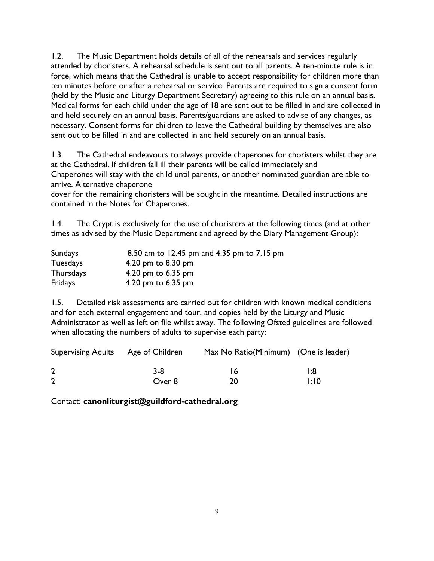1.2. The Music Department holds details of all of the rehearsals and services regularly attended by choristers. A rehearsal schedule is sent out to all parents. A ten-minute rule is in force, which means that the Cathedral is unable to accept responsibility for children more than ten minutes before or after a rehearsal or service. Parents are required to sign a consent form (held by the Music and Liturgy Department Secretary) agreeing to this rule on an annual basis. Medical forms for each child under the age of 18 are sent out to be filled in and are collected in and held securely on an annual basis. Parents/guardians are asked to advise of any changes, as necessary. Consent forms for children to leave the Cathedral building by themselves are also sent out to be filled in and are collected in and held securely on an annual basis.

1.3. The Cathedral endeavours to always provide chaperones for choristers whilst they are at the Cathedral. If children fall ill their parents will be called immediately and Chaperones will stay with the child until parents, or another nominated guardian are able to arrive. Alternative chaperone

cover for the remaining choristers will be sought in the meantime. Detailed instructions are contained in the Notes for Chaperones.

1.4. The Crypt is exclusively for the use of choristers at the following times (and at other times as advised by the Music Department and agreed by the Diary Management Group):

| Sundays          | 8.50 am to 12.45 pm and 4.35 pm to 7.15 pm |
|------------------|--------------------------------------------|
| <b>Tuesdays</b>  | 4.20 pm to 8.30 pm                         |
| <b>Thursdays</b> | 4.20 pm to $6.35$ pm                       |
| Fridays          | 4.20 pm to 6.35 pm                         |

1.5. Detailed risk assessments are carried out for children with known medical conditions and for each external engagement and tour, and copies held by the Liturgy and Music Administrator as well as left on file whilst away. The following Ofsted guidelines are followed when allocating the numbers of adults to supervise each party:

| Supervising Adults Age of Children |        | Max No Ratio(Minimum) (One is leader) |      |
|------------------------------------|--------|---------------------------------------|------|
|                                    | 3-8    | 16.                                   | l:8  |
|                                    | Over 8 | 20                                    | 1:10 |

Contact: **canonliturgist@guildford-cathedral.org**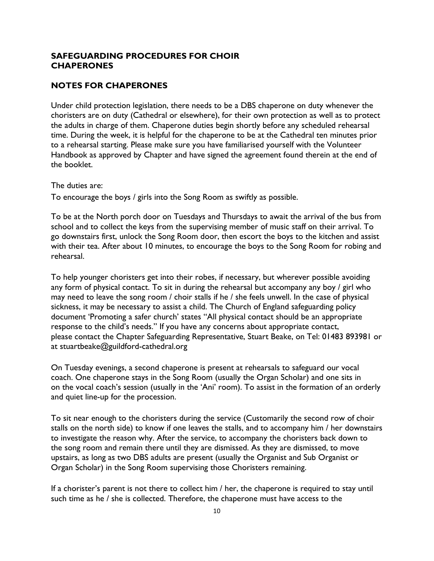#### **SAFEGUARDING PROCEDURES FOR CHOIR CHAPERONES**

## **NOTES FOR CHAPERONES**

Under child protection legislation, there needs to be a DBS chaperone on duty whenever the choristers are on duty (Cathedral or elsewhere), for their own protection as well as to protect the adults in charge of them. Chaperone duties begin shortly before any scheduled rehearsal time. During the week, it is helpful for the chaperone to be at the Cathedral ten minutes prior to a rehearsal starting. Please make sure you have familiarised yourself with the Volunteer Handbook as approved by Chapter and have signed the agreement found therein at the end of the booklet.

The duties are:

To encourage the boys / girls into the Song Room as swiftly as possible.

To be at the North porch door on Tuesdays and Thursdays to await the arrival of the bus from school and to collect the keys from the supervising member of music staff on their arrival. To go downstairs first, unlock the Song Room door, then escort the boys to the kitchen and assist with their tea. After about 10 minutes, to encourage the boys to the Song Room for robing and rehearsal.

To help younger choristers get into their robes, if necessary, but wherever possible avoiding any form of physical contact. To sit in during the rehearsal but accompany any boy / girl who may need to leave the song room / choir stalls if he / she feels unwell. In the case of physical sickness, it may be necessary to assist a child. The Church of England safeguarding policy document 'Promoting a safer church' states "All physical contact should be an appropriate response to the child's needs." If you have any concerns about appropriate contact, please contact the Chapter Safeguarding Representative, Stuart Beake, on Tel: 01483 893981 or at stuartbeake@guildford-cathedral.org

On Tuesday evenings, a second chaperone is present at rehearsals to safeguard our vocal coach. One chaperone stays in the Song Room (usually the Organ Scholar) and one sits in on the vocal coach's session (usually in the 'Ani' room). To assist in the formation of an orderly and quiet line-up for the procession.

To sit near enough to the choristers during the service (Customarily the second row of choir stalls on the north side) to know if one leaves the stalls, and to accompany him / her downstairs to investigate the reason why. After the service, to accompany the choristers back down to the song room and remain there until they are dismissed. As they are dismissed, to move upstairs, as long as two DBS adults are present (usually the Organist and Sub Organist or Organ Scholar) in the Song Room supervising those Choristers remaining.

If a chorister's parent is not there to collect him / her, the chaperone is required to stay until such time as he / she is collected. Therefore, the chaperone must have access to the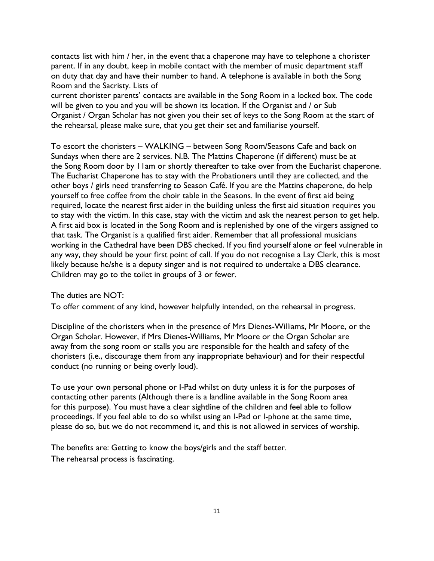contacts list with him / her, in the event that a chaperone may have to telephone a chorister parent. If in any doubt, keep in mobile contact with the member of music department staff on duty that day and have their number to hand. A telephone is available in both the Song Room and the Sacristy. Lists of

current chorister parents' contacts are available in the Song Room in a locked box. The code will be given to you and you will be shown its location. If the Organist and / or Sub Organist / Organ Scholar has not given you their set of keys to the Song Room at the start of the rehearsal, please make sure, that you get their set and familiarise yourself.

To escort the choristers – WALKING – between Song Room/Seasons Cafe and back on Sundays when there are 2 services. N.B. The Mattins Chaperone (if different) must be at the Song Room door by 11am or shortly thereafter to take over from the Eucharist chaperone. The Eucharist Chaperone has to stay with the Probationers until they are collected, and the other boys / girls need transferring to Season Café. If you are the Mattins chaperone, do help yourself to free coffee from the choir table in the Seasons. In the event of first aid being required, locate the nearest first aider in the building unless the first aid situation requires you to stay with the victim. In this case, stay with the victim and ask the nearest person to get help. A first aid box is located in the Song Room and is replenished by one of the virgers assigned to that task. The Organist is a qualified first aider. Remember that all professional musicians working in the Cathedral have been DBS checked. If you find yourself alone or feel vulnerable in any way, they should be your first point of call. If you do not recognise a Lay Clerk, this is most likely because he/she is a deputy singer and is not required to undertake a DBS clearance. Children may go to the toilet in groups of 3 or fewer.

The duties are NOT:

To offer comment of any kind, however helpfully intended, on the rehearsal in progress.

Discipline of the choristers when in the presence of Mrs Dienes-Williams, Mr Moore, or the Organ Scholar. However, if Mrs Dienes-Williams, Mr Moore or the Organ Scholar are away from the song room or stalls you are responsible for the health and safety of the choristers (i.e., discourage them from any inappropriate behaviour) and for their respectful conduct (no running or being overly loud).

To use your own personal phone or I-Pad whilst on duty unless it is for the purposes of contacting other parents (Although there is a landline available in the Song Room area for this purpose). You must have a clear sightline of the children and feel able to follow proceedings. If you feel able to do so whilst using an I-Pad or I-phone at the same time, please do so, but we do not recommend it, and this is not allowed in services of worship.

The benefits are: Getting to know the boys/girls and the staff better. The rehearsal process is fascinating.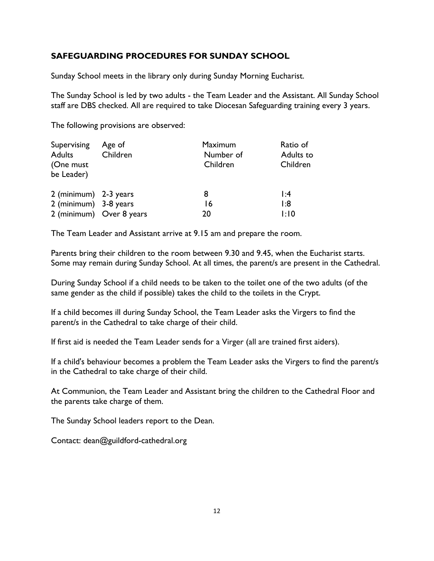## **SAFEGUARDING PROCEDURES FOR SUNDAY SCHOOL**

Sunday School meets in the library only during Sunday Morning Eucharist.

The Sunday School is led by two adults - the Team Leader and the Assistant. All Sunday School staff are DBS checked. All are required to take Diocesan Safeguarding training every 3 years.

The following provisions are observed:

| Supervising<br><b>Adults</b><br>(One must<br>be Leader) | Age of<br>Children       | <b>Maximum</b><br>Number of<br>Children | Ratio of<br>Adults to<br>Children |
|---------------------------------------------------------|--------------------------|-----------------------------------------|-----------------------------------|
| 2 (minimum) 2-3 years<br>2 (minimum) 3-8 years          | 2 (minimum) Over 8 years | 8<br>16<br>20                           | 1:4<br>1:8<br>1:10                |

The Team Leader and Assistant arrive at 9.15 am and prepare the room.

Parents bring their children to the room between 9.30 and 9.45, when the Eucharist starts. Some may remain during Sunday School. At all times, the parent/s are present in the Cathedral.

During Sunday School if a child needs to be taken to the toilet one of the two adults (of the same gender as the child if possible) takes the child to the toilets in the Crypt.

If a child becomes ill during Sunday School, the Team Leader asks the Virgers to find the parent/s in the Cathedral to take charge of their child.

If first aid is needed the Team Leader sends for a Virger (all are trained first aiders).

If a child's behaviour becomes a problem the Team Leader asks the Virgers to find the parent/s in the Cathedral to take charge of their child.

At Communion, the Team Leader and Assistant bring the children to the Cathedral Floor and the parents take charge of them.

The Sunday School leaders report to the Dean.

Contact: dean@guildford-cathedral.org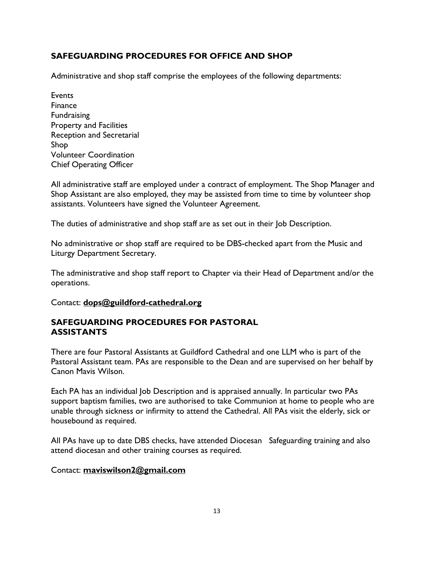# **SAFEGUARDING PROCEDURES FOR OFFICE AND SHOP**

Administrative and shop staff comprise the employees of the following departments:

Events Finance Fundraising Property and Facilities Reception and Secretarial Shop Volunteer Coordination Chief Operating Officer

All administrative staff are employed under a contract of employment. The Shop Manager and Shop Assistant are also employed, they may be assisted from time to time by volunteer shop assistants. Volunteers have signed the Volunteer Agreement.

The duties of administrative and shop staff are as set out in their Job Description.

No administrative or shop staff are required to be DBS-checked apart from the Music and Liturgy Department Secretary.

The administrative and shop staff report to Chapter via their Head of Department and/or the operations.

Contact: **dops@guildford-cathedral.org**

## **SAFEGUARDING PROCEDURES FOR PASTORAL ASSISTANTS**

There are four Pastoral Assistants at Guildford Cathedral and one LLM who is part of the Pastoral Assistant team. PAs are responsible to the Dean and are supervised on her behalf by Canon Mavis Wilson.

Each PA has an individual Job Description and is appraised annually. In particular two PAs support baptism families, two are authorised to take Communion at home to people who are unable through sickness or infirmity to attend the Cathedral. All PAs visit the elderly, sick or housebound as required.

All PAs have up to date DBS checks, have attended Diocesan Safeguarding training and also attend diocesan and other training courses as required.

#### Contact: **maviswilson2@gmail.com**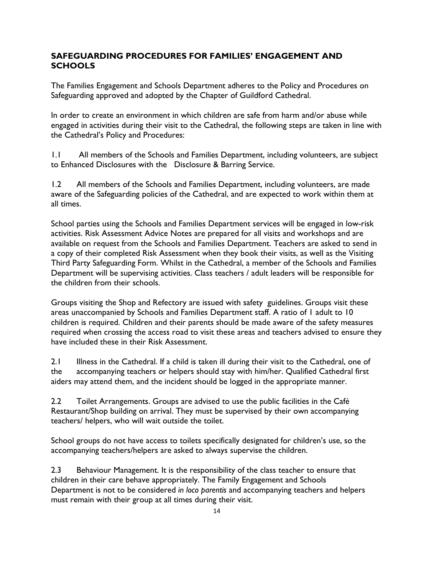# **SAFEGUARDING PROCEDURES FOR FAMILIES' ENGAGEMENT AND SCHOOLS**

The Families Engagement and Schools Department adheres to the Policy and Procedures on Safeguarding approved and adopted by the Chapter of Guildford Cathedral.

In order to create an environment in which children are safe from harm and/or abuse while engaged in activities during their visit to the Cathedral, the following steps are taken in line with the Cathedral's Policy and Procedures:

1.1 All members of the Schools and Families Department, including volunteers, are subject to Enhanced Disclosures with the Disclosure & Barring Service.

1.2 All members of the Schools and Families Department, including volunteers, are made aware of the Safeguarding policies of the Cathedral, and are expected to work within them at all times.

School parties using the Schools and Families Department services will be engaged in low-risk activities. Risk Assessment Advice Notes are prepared for all visits and workshops and are available on request from the Schools and Families Department. Teachers are asked to send in a copy of their completed Risk Assessment when they book their visits, as well as the Visiting Third Party Safeguarding Form. Whilst in the Cathedral, a member of the Schools and Families Department will be supervising activities. Class teachers / adult leaders will be responsible for the children from their schools.

Groups visiting the Shop and Refectory are issued with safety guidelines. Groups visit these areas unaccompanied by Schools and Families Department staff. A ratio of 1 adult to 10 children is required. Children and their parents should be made aware of the safety measures required when crossing the access road to visit these areas and teachers advised to ensure they have included these in their Risk Assessment.

2.1 Illness in the Cathedral. If a child is taken ill during their visit to the Cathedral, one of the accompanying teachers or helpers should stay with him/her. Qualified Cathedral first aiders may attend them, and the incident should be logged in the appropriate manner.

2.2 Toilet Arrangements. Groups are advised to use the public facilities in the Café Restaurant/Shop building on arrival. They must be supervised by their own accompanying teachers/ helpers, who will wait outside the toilet.

School groups do not have access to toilets specifically designated for children's use, so the accompanying teachers/helpers are asked to always supervise the children.

2.3 Behaviour Management. It is the responsibility of the class teacher to ensure that children in their care behave appropriately. The Family Engagement and Schools Department is not to be considered *in loco parentis* and accompanying teachers and helpers must remain with their group at all times during their visit.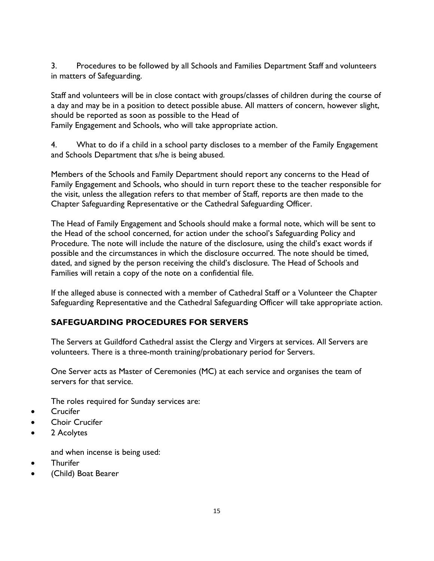3. Procedures to be followed by all Schools and Families Department Staff and volunteers in matters of Safeguarding.

Staff and volunteers will be in close contact with groups/classes of children during the course of a day and may be in a position to detect possible abuse. All matters of concern, however slight, should be reported as soon as possible to the Head of

Family Engagement and Schools, who will take appropriate action.

4. What to do if a child in a school party discloses to a member of the Family Engagement and Schools Department that s/he is being abused.

Members of the Schools and Family Department should report any concerns to the Head of Family Engagement and Schools, who should in turn report these to the teacher responsible for the visit, unless the allegation refers to that member of Staff, reports are then made to the Chapter Safeguarding Representative or the Cathedral Safeguarding Officer.

The Head of Family Engagement and Schools should make a formal note, which will be sent to the Head of the school concerned, for action under the school's Safeguarding Policy and Procedure. The note will include the nature of the disclosure, using the child's exact words if possible and the circumstances in which the disclosure occurred. The note should be timed, dated, and signed by the person receiving the child's disclosure. The Head of Schools and Families will retain a copy of the note on a confidential file.

If the alleged abuse is connected with a member of Cathedral Staff or a Volunteer the Chapter Safeguarding Representative and the Cathedral Safeguarding Officer will take appropriate action.

# **SAFEGUARDING PROCEDURES FOR SERVERS**

The Servers at Guildford Cathedral assist the Clergy and Virgers at services. All Servers are volunteers. There is a three-month training/probationary period for Servers.

One Server acts as Master of Ceremonies (MC) at each service and organises the team of servers for that service.

The roles required for Sunday services are:

- Crucifer
- Choir Crucifer
- 2 Acolytes

and when incense is being used:

- **Thurifer**
- (Child) Boat Bearer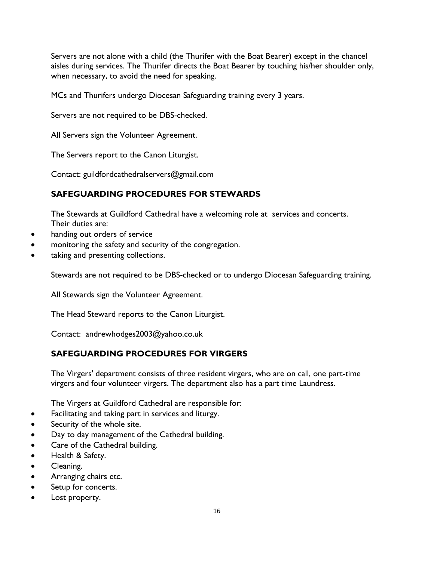Servers are not alone with a child (the Thurifer with the Boat Bearer) except in the chancel aisles during services. The Thurifer directs the Boat Bearer by touching his/her shoulder only, when necessary, to avoid the need for speaking.

MCs and Thurifers undergo Diocesan Safeguarding training every 3 years.

Servers are not required to be DBS-checked.

All Servers sign the Volunteer Agreement.

The Servers report to the Canon Liturgist.

Contact: guildfordcathedralservers@gmail.com

# **SAFEGUARDING PROCEDURES FOR STEWARDS**

The Stewards at Guildford Cathedral have a welcoming role at services and concerts. Their duties are:

- handing out orders of service
- monitoring the safety and security of the congregation.
- taking and presenting collections.

Stewards are not required to be DBS-checked or to undergo Diocesan Safeguarding training.

All Stewards sign the Volunteer Agreement.

The Head Steward reports to the Canon Liturgist.

Contact: andrewhodges2003@yahoo.co.uk

# **SAFEGUARDING PROCEDURES FOR VIRGERS**

The Virgers' department consists of three resident virgers, who are on call, one part-time virgers and four volunteer virgers. The department also has a part time Laundress.

The Virgers at Guildford Cathedral are responsible for:

- Facilitating and taking part in services and liturgy.
- Security of the whole site.
- Day to day management of the Cathedral building.
- Care of the Cathedral building.
- Health & Safety.
- Cleaning.
- Arranging chairs etc.
- Setup for concerts.
- Lost property.